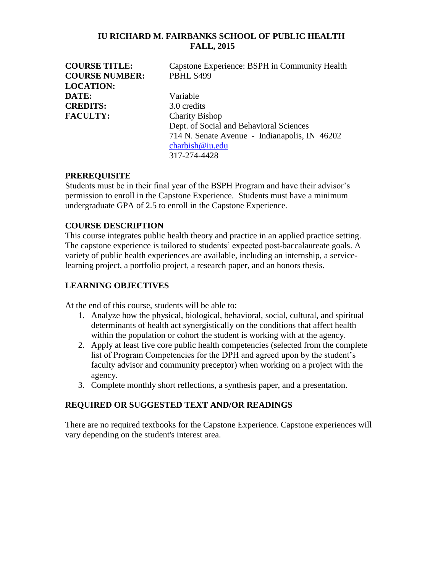### **IU RICHARD M. FAIRBANKS SCHOOL OF PUBLIC HEALTH FALL, 2015**

**COURSE TITLE:** Capstone Experience: BSPH in Community Health **COURSE NUMBER:** PBHL S499 **LOCATION: DATE:** Variable **CREDITS:** 3.0 credits **FACULTY:** Charity Bishop Dept. of Social and Behavioral Sciences 714 N. Senate Avenue - Indianapolis, IN 46202 [charbish@iu.edu](mailto:charbish@iu.edu) 317-274-4428

### **PREREQUISITE**

Students must be in their final year of the BSPH Program and have their advisor's permission to enroll in the Capstone Experience. Students must have a minimum undergraduate GPA of 2.5 to enroll in the Capstone Experience.

### **COURSE DESCRIPTION**

This course integrates public health theory and practice in an applied practice setting. The capstone experience is tailored to students' expected post-baccalaureate goals. A variety of public health experiences are available, including an internship, a servicelearning project, a portfolio project, a research paper, and an honors thesis.

### **LEARNING OBJECTIVES**

At the end of this course, students will be able to:

- 1. Analyze how the physical, biological, behavioral, social, cultural, and spiritual determinants of health act synergistically on the conditions that affect health within the population or cohort the student is working with at the agency.
- 2. Apply at least five core public health competencies (selected from the complete list of Program Competencies for the DPH and agreed upon by the student's faculty advisor and community preceptor) when working on a project with the agency.
- 3. Complete monthly short reflections, a synthesis paper, and a presentation.

## **REQUIRED OR SUGGESTED TEXT AND/OR READINGS**

There are no required textbooks for the Capstone Experience. Capstone experiences will vary depending on the student's interest area.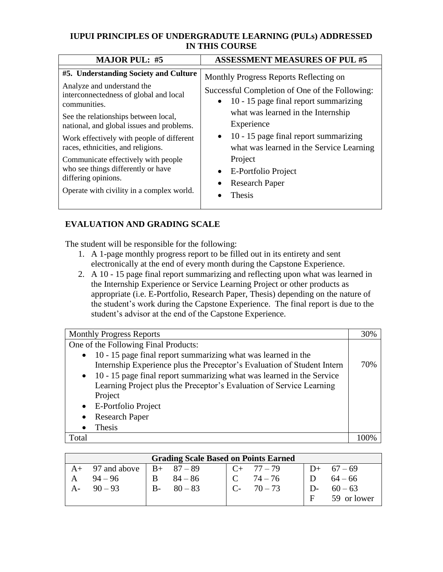# **IUPUI PRINCIPLES OF UNDERGRADUTE LEARNING (PULs) ADDRESSED IN THIS COURSE**

| <b>MAJOR PUL: #5</b>                                                                                                                                                                                                             | <b>ASSESSMENT MEASURES OF PUL #5</b>                                                                                                                                                            |
|----------------------------------------------------------------------------------------------------------------------------------------------------------------------------------------------------------------------------------|-------------------------------------------------------------------------------------------------------------------------------------------------------------------------------------------------|
| #5. Understanding Society and Culture<br>Analyze and understand the<br>interconnectedness of global and local<br>communities.<br>See the relationships between local,<br>national, and global issues and problems.               | Monthly Progress Reports Reflecting on<br>Successful Completion of One of the Following:<br>$\bullet$ 10 - 15 page final report summarizing<br>what was learned in the Internship<br>Experience |
| Work effectively with people of different<br>races, ethnicities, and religions.<br>Communicate effectively with people<br>who see things differently or have<br>differing opinions.<br>Operate with civility in a complex world. | $\bullet$ 10 - 15 page final report summarizing<br>what was learned in the Service Learning<br>Project<br>E-Portfolio Project<br><b>Research Paper</b><br>Thesis                                |

# **EVALUATION AND GRADING SCALE**

The student will be responsible for the following:

- 1. A 1-page monthly progress report to be filled out in its entirety and sent electronically at the end of every month during the Capstone Experience.
- 2. A 10 15 page final report summarizing and reflecting upon what was learned in the Internship Experience or Service Learning Project or other products as appropriate (i.e. E-Portfolio, Research Paper, Thesis) depending on the nature of the student's work during the Capstone Experience. The final report is due to the student's advisor at the end of the Capstone Experience.

| <b>Monthly Progress Reports</b>                                                                                                                                                                                                                                                                                  |  |
|------------------------------------------------------------------------------------------------------------------------------------------------------------------------------------------------------------------------------------------------------------------------------------------------------------------|--|
| One of the Following Final Products:                                                                                                                                                                                                                                                                             |  |
| $\bullet$ 10 - 15 page final report summarizing what was learned in the<br>Internship Experience plus the Preceptor's Evaluation of Student Intern<br>• 10 - 15 page final report summarizing what was learned in the Service<br>Learning Project plus the Preceptor's Evaluation of Service Learning<br>Project |  |
| • E-Portfolio Project<br><b>Research Paper</b>                                                                                                                                                                                                                                                                   |  |
| Thesis                                                                                                                                                                                                                                                                                                           |  |
| Total                                                                                                                                                                                                                                                                                                            |  |

| <b>Grading Scale Based on Points Earned</b> |                              |              |               |  |                 |       |             |
|---------------------------------------------|------------------------------|--------------|---------------|--|-----------------|-------|-------------|
|                                             | A+ 97 and above   B+ $87-89$ |              |               |  | $C_{+}$ 77 – 79 |       | $D+ 67-69$  |
|                                             | $94 - 96$                    | <sub>B</sub> | $84 - 86$     |  | $74 - 76$       |       | D $64-66$   |
|                                             | A- $90-93$                   |              | $B - 80 - 83$ |  | $C - 70 - 73$   | $D$ - | $60 - 63$   |
|                                             |                              |              |               |  |                 | F     | 59 or lower |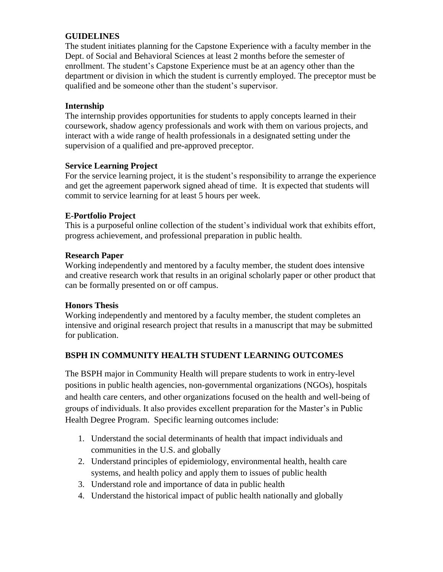# **GUIDELINES**

The student initiates planning for the Capstone Experience with a faculty member in the Dept. of Social and Behavioral Sciences at least 2 months before the semester of enrollment. The student's Capstone Experience must be at an agency other than the department or division in which the student is currently employed. The preceptor must be qualified and be someone other than the student's supervisor.

# **Internship**

The internship provides opportunities for students to apply concepts learned in their coursework, shadow agency professionals and work with them on various projects, and interact with a wide range of health professionals in a designated setting under the supervision of a qualified and pre-approved preceptor.

## **Service Learning Project**

For the service learning project, it is the student's responsibility to arrange the experience and get the agreement paperwork signed ahead of time. It is expected that students will commit to service learning for at least 5 hours per week.

## **E-Portfolio Project**

This is a purposeful online collection of the student's individual work that exhibits effort, progress achievement, and professional preparation in public health.

## **Research Paper**

Working independently and mentored by a faculty member, the student does intensive and creative research work that results in an original scholarly paper or other product that can be formally presented on or off campus.

## **Honors Thesis**

Working independently and mentored by a faculty member, the student completes an intensive and original research project that results in a manuscript that may be submitted for publication.

# **BSPH IN COMMUNITY HEALTH STUDENT LEARNING OUTCOMES**

The BSPH major in Community Health will prepare students to work in entry-level positions in public health agencies, non-governmental organizations (NGOs), hospitals and health care centers, and other organizations focused on the health and well-being of groups of individuals. It also provides excellent preparation for the Master's in Public Health Degree Program. Specific learning outcomes include:

- 1. Understand the social determinants of health that impact individuals and communities in the U.S. and globally
- 2. Understand principles of epidemiology, environmental health, health care systems, and health policy and apply them to issues of public health
- 3. Understand role and importance of data in public health
- 4. Understand the historical impact of public health nationally and globally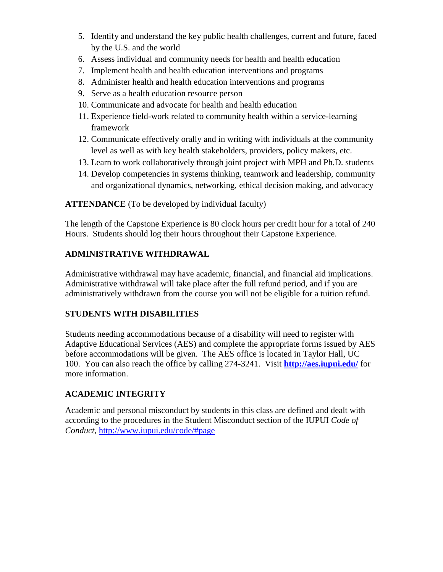- 5. Identify and understand the key public health challenges, current and future, faced by the U.S. and the world
- 6. Assess individual and community needs for health and health education
- 7. Implement health and health education interventions and programs
- 8. Administer health and health education interventions and programs
- 9. Serve as a health education resource person
- 10. Communicate and advocate for health and health education
- 11. Experience field-work related to community health within a service-learning framework
- 12. Communicate effectively orally and in writing with individuals at the community level as well as with key health stakeholders, providers, policy makers, etc.
- 13. Learn to work collaboratively through joint project with MPH and Ph.D. students
- 14. Develop competencies in systems thinking, teamwork and leadership, community and organizational dynamics, networking, ethical decision making, and advocacy

**ATTENDANCE** (To be developed by individual faculty)

The length of the Capstone Experience is 80 clock hours per credit hour for a total of 240 Hours. Students should log their hours throughout their Capstone Experience.

## **ADMINISTRATIVE WITHDRAWAL**

Administrative withdrawal may have academic, financial, and financial aid implications. Administrative withdrawal will take place after the full refund period, and if you are administratively withdrawn from the course you will not be eligible for a tuition refund.

## **STUDENTS WITH DISABILITIES**

Students needing accommodations because of a disability will need to register with Adaptive Educational Services (AES) and complete the appropriate forms issued by AES before accommodations will be given. The AES office is located in Taylor Hall, UC 100. You can also reach the office by calling 274-3241. Visit **<http://aes.iupui.edu/>** for more information.

## **ACADEMIC INTEGRITY**

Academic and personal misconduct by students in this class are defined and dealt with according to the procedures in the Student Misconduct section of the IUPUI *Code of Conduct,* <http://www.iupui.edu/code/#page>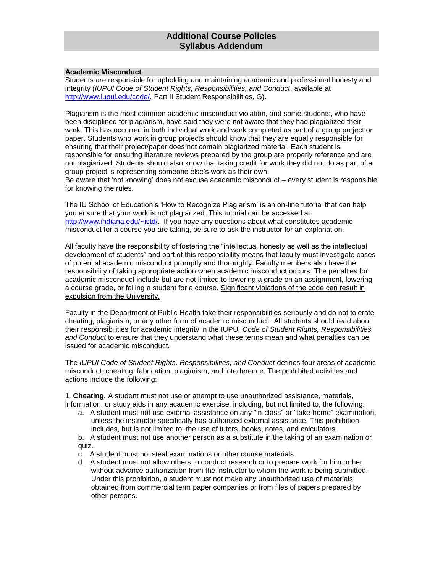## **Additional Course Policies Syllabus Addendum**

#### **Academic Misconduct**

Students are responsible for upholding and maintaining academic and professional honesty and integrity (*IUPUI Code of Student Rights, Responsibilities, and Conduct*, available at [http://www.iupui.edu/code/,](http://www.iupui.edu/code/) Part II Student Responsibilities, G).

Plagiarism is the most common academic misconduct violation, and some students, who have been disciplined for plagiarism, have said they were not aware that they had plagiarized their work. This has occurred in both individual work and work completed as part of a group project or paper. Students who work in group projects should know that they are equally responsible for ensuring that their project/paper does not contain plagiarized material. Each student is responsible for ensuring literature reviews prepared by the group are properly reference and are not plagiarized. Students should also know that taking credit for work they did not do as part of a group project is representing someone else's work as their own.

Be aware that 'not knowing' does not excuse academic misconduct – every student is responsible for knowing the rules.

The IU School of Education's 'How to Recognize Plagiarism' is an on-line tutorial that can help you ensure that your work is not plagiarized. This tutorial can be accessed at [http://www.indiana.edu/~istd/.](http://www.indiana.edu/~istd/) If you have any questions about what constitutes academic misconduct for a course you are taking, be sure to ask the instructor for an explanation.

All faculty have the responsibility of fostering the "intellectual honesty as well as the intellectual development of students" and part of this responsibility means that faculty must investigate cases of potential academic misconduct promptly and thoroughly. Faculty members also have the responsibility of taking appropriate action when academic misconduct occurs. The penalties for academic misconduct include but are not limited to lowering a grade on an assignment, lowering a course grade, or failing a student for a course. Significant violations of the code can result in expulsion from the University.

Faculty in the Department of Public Health take their responsibilities seriously and do not tolerate cheating, plagiarism, or any other form of academic misconduct. All students should read about their responsibilities for academic integrity in the IUPUI *Code of Student Rights, Responsibilities, and Conduct* to ensure that they understand what these terms mean and what penalties can be issued for academic misconduct.

The *IUPUI Code of Student Rights, Responsibilities, and Conduct* defines four areas of academic misconduct: cheating, fabrication, plagiarism, and interference. The prohibited activities and actions include the following:

1. **Cheating.** A student must not use or attempt to use unauthorized assistance, materials, information, or study aids in any academic exercise, including, but not limited to, the following:

- a. A student must not use external assistance on any "in-class" or "take-home" examination, unless the instructor specifically has authorized external assistance. This prohibition includes, but is not limited to, the use of tutors, books, notes, and calculators.
- b. A student must not use another person as a substitute in the taking of an examination or quiz.
- c. A student must not steal examinations or other course materials.
- d. A student must not allow others to conduct research or to prepare work for him or her without advance authorization from the instructor to whom the work is being submitted. Under this prohibition, a student must not make any unauthorized use of materials obtained from commercial term paper companies or from files of papers prepared by other persons.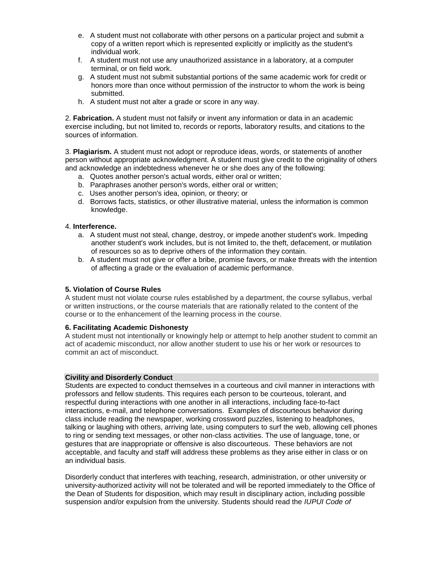- e. A student must not collaborate with other persons on a particular project and submit a copy of a written report which is represented explicitly or implicitly as the student's individual work.
- f. A student must not use any unauthorized assistance in a laboratory, at a computer terminal, or on field work.
- g. A student must not submit substantial portions of the same academic work for credit or honors more than once without permission of the instructor to whom the work is being submitted.
- h. A student must not alter a grade or score in any way.

2. **Fabrication.** A student must not falsify or invent any information or data in an academic exercise including, but not limited to, records or reports, laboratory results, and citations to the sources of information.

3. **Plagiarism.** A student must not adopt or reproduce ideas, words, or statements of another person without appropriate acknowledgment. A student must give credit to the originality of others and acknowledge an indebtedness whenever he or she does any of the following:

- a. Quotes another person's actual words, either oral or written;
- b. Paraphrases another person's words, either oral or written;
- c. Uses another person's idea, opinion, or theory; or
- d. Borrows facts, statistics, or other illustrative material, unless the information is common knowledge.

#### 4. **Interference.**

- a. A student must not steal, change, destroy, or impede another student's work. Impeding another student's work includes, but is not limited to, the theft, defacement, or mutilation of resources so as to deprive others of the information they contain.
- b. A student must not give or offer a bribe, promise favors, or make threats with the intention of affecting a grade or the evaluation of academic performance.

#### **5. Violation of Course Rules**

A student must not violate course rules established by a department, the course syllabus, verbal or written instructions, or the course materials that are rationally related to the content of the course or to the enhancement of the learning process in the course.

#### **6. Facilitating Academic Dishonesty**

A student must not intentionally or knowingly help or attempt to help another student to commit an act of academic misconduct, nor allow another student to use his or her work or resources to commit an act of misconduct.

#### **Civility and Disorderly Conduct**

Students are expected to conduct themselves in a courteous and civil manner in interactions with professors and fellow students. This requires each person to be courteous, tolerant, and respectful during interactions with one another in all interactions, including face-to-fact interactions, e-mail, and telephone conversations. Examples of discourteous behavior during class include reading the newspaper, working crossword puzzles, listening to headphones, talking or laughing with others, arriving late, using computers to surf the web, allowing cell phones to ring or sending text messages, or other non-class activities. The use of language, tone, or gestures that are inappropriate or offensive is also discourteous. These behaviors are not acceptable, and faculty and staff will address these problems as they arise either in class or on an individual basis.

Disorderly conduct that interferes with teaching, research, administration, or other university or university-authorized activity will not be tolerated and will be reported immediately to the Office of the Dean of Students for disposition, which may result in disciplinary action, including possible suspension and/or expulsion from the university. Students should read the *IUPUI Code of*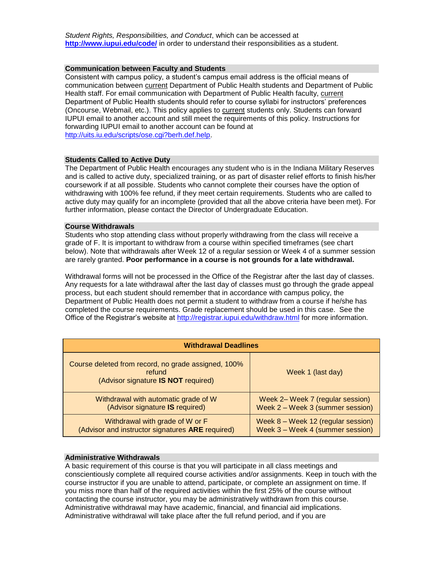*Student Rights, Responsibilities, and Conduct*, which can be accessed at **<http://www.iupui.edu/code/>** in order to understand their responsibilities as a student.

#### **Communication between Faculty and Students**

Consistent with campus policy, a student's campus email address is the official means of communication between current Department of Public Health students and Department of Public Health staff. For email communication with Department of Public Health faculty, current Department of Public Health students should refer to course syllabi for instructors' preferences (Oncourse, Webmail, etc.). This policy applies to current students only. Students can forward IUPUI email to another account and still meet the requirements of this policy. Instructions for forwarding IUPUI email to another account can be found at [http://uits.iu.edu/scripts/ose.cgi?berh.def.help.](http://uits.iu.edu/scripts/ose.cgi?berh.def.help)

#### **Students Called to Active Duty**

The Department of Public Health encourages any student who is in the Indiana Military Reserves and is called to active duty, specialized training, or as part of disaster relief efforts to finish his/her coursework if at all possible. Students who cannot complete their courses have the option of withdrawing with 100% fee refund, if they meet certain requirements. Students who are called to active duty may qualify for an incomplete (provided that all the above criteria have been met). For further information, please contact the Director of Undergraduate Education.

#### **Course Withdrawals**

Students who stop attending class without properly withdrawing from the class will receive a grade of F. It is important to withdraw from a course within specified timeframes (see chart below). Note that withdrawals after Week 12 of a regular session or Week 4 of a summer session are rarely granted. **Poor performance in a course is not grounds for a late withdrawal.**

Withdrawal forms will not be processed in the Office of the Registrar after the last day of classes. Any requests for a late withdrawal after the last day of classes must go through the grade appeal process, but each student should remember that in accordance with campus policy, the Department of Public Health does not permit a student to withdraw from a course if he/she has completed the course requirements. Grade replacement should be used in this case. See the Office of the Registrar's website at<http://registrar.iupui.edu/withdraw.html> for more information.

| <b>Withdrawal Deadlines</b>                                                                          |                                      |  |  |  |  |
|------------------------------------------------------------------------------------------------------|--------------------------------------|--|--|--|--|
| Course deleted from record, no grade assigned, 100%<br>refund<br>(Advisor signature IS NOT required) | Week 1 (last day)                    |  |  |  |  |
| Withdrawal with automatic grade of W                                                                 | Week 2– Week 7 (regular session)     |  |  |  |  |
| (Advisor signature IS required)                                                                      | Week 2 – Week 3 (summer session)     |  |  |  |  |
| Withdrawal with grade of W or F                                                                      | Week $8 -$ Week 12 (regular session) |  |  |  |  |
| (Advisor and instructor signatures ARE required)                                                     | Week 3 - Week 4 (summer session)     |  |  |  |  |

#### **Administrative Withdrawals**

A basic requirement of this course is that you will participate in all class meetings and conscientiously complete all required course activities and/or assignments. Keep in touch with the course instructor if you are unable to attend, participate, or complete an assignment on time. If you miss more than half of the required activities within the first 25% of the course without contacting the course instructor, you may be administratively withdrawn from this course. Administrative withdrawal may have academic, financial, and financial aid implications. Administrative withdrawal will take place after the full refund period, and if you are